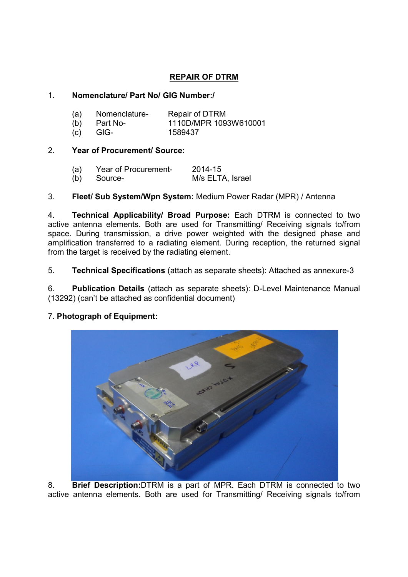# REPAIR OF DTRM

## 1. Nomenclature/ Part No/ GIG Number:/

| (a) | Nomenclature-  | Repair of DTRM        |
|-----|----------------|-----------------------|
|     | $(b)$ Part No- | 1110D/MPR 1093W610001 |
| (c) | -GIG-          | 1589437               |

## 2. Year of Procurement/ Source:

| (a) | Year of Procurement- | 2014-15          |
|-----|----------------------|------------------|
|     | (b) Source-          | M/s ELTA, Israel |

## 3. Fleet/ Sub System/Wpn System: Medium Power Radar (MPR) / Antenna

4. Technical Applicability/ Broad Purpose: Each DTRM is connected to two active antenna elements. Both are used for Transmitting/ Receiving signals to/from space. During transmission, a drive power weighted with the designed phase and amplification transferred to a radiating element. During reception, the returned signal from the target is received by the radiating element.

5. Technical Specifications (attach as separate sheets): Attached as annexure-3

6. Publication Details (attach as separate sheets): D-Level Maintenance Manual (13292) (can't be attached as confidential document)

## 7. Photograph of Equipment:



8. Brief Description:DTRM is a part of MPR. Each DTRM is connected to two active antenna elements. Both are used for Transmitting/ Receiving signals to/from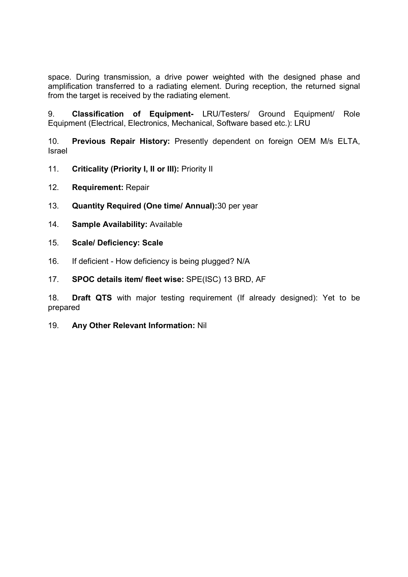space. During transmission, a drive power weighted with the designed phase and amplification transferred to a radiating element. During reception, the returned signal from the target is received by the radiating element.

9. Classification of Equipment- LRU/Testers/ Ground Equipment/ Role Equipment (Electrical, Electronics, Mechanical, Software based etc.): LRU

10. Previous Repair History: Presently dependent on foreign OEM M/s ELTA, Israel

- 11. Criticality (Priority I, II or III): Priority II
- 12. Requirement: Repair
- 13. Quantity Required (One time/ Annual):30 per year
- 14. Sample Availability: Available
- 15. Scale/ Deficiency: Scale
- 16. If deficient How deficiency is being plugged? N/A
- 17. SPOC details item/ fleet wise: SPE(ISC) 13 BRD, AF

18. Draft QTS with major testing requirement (If already designed): Yet to be prepared

19. Any Other Relevant Information: Nil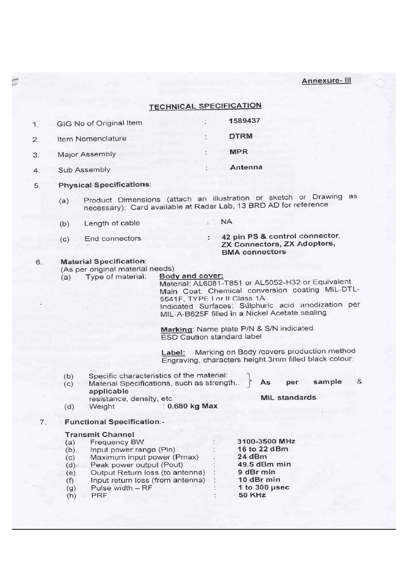Annexure-III

|    |                                                      |                                                                                                                                                                                                                                                        |                           | <b>TECHNICAL SPECIFICATION</b>                                                                                                                                                                                                                                                                                                                                                                                                                                                  |
|----|------------------------------------------------------|--------------------------------------------------------------------------------------------------------------------------------------------------------------------------------------------------------------------------------------------------------|---------------------------|---------------------------------------------------------------------------------------------------------------------------------------------------------------------------------------------------------------------------------------------------------------------------------------------------------------------------------------------------------------------------------------------------------------------------------------------------------------------------------|
| 1. |                                                      | GIG No of Original Item                                                                                                                                                                                                                                |                           | 1589437                                                                                                                                                                                                                                                                                                                                                                                                                                                                         |
| 2. |                                                      | Item Nomenclature                                                                                                                                                                                                                                      |                           | <b>DTRM</b>                                                                                                                                                                                                                                                                                                                                                                                                                                                                     |
| 3. |                                                      | Major Assembly                                                                                                                                                                                                                                         |                           | <b>MPR</b>                                                                                                                                                                                                                                                                                                                                                                                                                                                                      |
| 4. |                                                      | Sub Assembly                                                                                                                                                                                                                                           |                           | Antenna                                                                                                                                                                                                                                                                                                                                                                                                                                                                         |
| 5. |                                                      | <b>Physical Specifications:</b>                                                                                                                                                                                                                        |                           |                                                                                                                                                                                                                                                                                                                                                                                                                                                                                 |
|    | (a)                                                  |                                                                                                                                                                                                                                                        |                           | Product Dimensions (attach an illustration or sketch or Drawing as<br>necessary): Card available at Radar Lab, 13 BRD AD for reference                                                                                                                                                                                                                                                                                                                                          |
|    | (b)                                                  | Length of cable                                                                                                                                                                                                                                        |                           | <b>NA</b>                                                                                                                                                                                                                                                                                                                                                                                                                                                                       |
|    | (c)                                                  | End connectors                                                                                                                                                                                                                                         | t -                       | 42 pin PS & control connector,<br>ZX Connectors, ZX Adopters,<br><b>BMA connectors</b>                                                                                                                                                                                                                                                                                                                                                                                          |
| 6. | (a)<br>(b)<br>(c)<br>(d)                             | <b>Material Specification:</b><br>(As per original material needs)<br>Type of material:<br>Specific characteristics of the material:<br>Material Specifications, such as strength,.<br>applicable<br>resistance, density, etc<br>Weight : 0.680 kg Max | Body and cover:<br>Label: | Material: AL6081-T851 or AL5052-H32 or Equivalent<br>Main Coat: Chemical conversion coating MIL-DTL-<br>5541F, TYPE I or II Class 1A<br>Indicated Surfaces: Sulphuric acid anodization per<br>MIL-A-B625F filled in a Nickel Acetate sealing<br>Marking: Name plate P/N & S/N indicated<br>ESD Caution standard label<br>Marking on Body /covers production method<br>Engraving, characters height 3mm filled black colour.<br>&<br>sample<br>per<br>As<br><b>MIL standards</b> |
| 7. |                                                      | <b>Functional Specification:-</b>                                                                                                                                                                                                                      |                           |                                                                                                                                                                                                                                                                                                                                                                                                                                                                                 |
|    | (a)<br>(b)<br>(c)<br>(d)<br>(e)<br>(f)<br>(g)<br>(h) | <b>Transmit Channel</b><br><b>Frequency BW</b><br>Input power range (Pin)<br>Maximum input power (Pmax)<br>Peak power output (Pout)<br>Output Return loss (to antenna)<br>Input return loss (from antenna)<br>Pulse width - RF<br>PRF                  |                           | 3100-3500 MHz<br>16 to 22 dBm<br>24 dBm<br>49.5 dBm min<br>9 dBr min<br>10 dBr min<br>1 to $300$ $\mu$ sec<br><b>50 KHz</b>                                                                                                                                                                                                                                                                                                                                                     |

 $\overline{U}$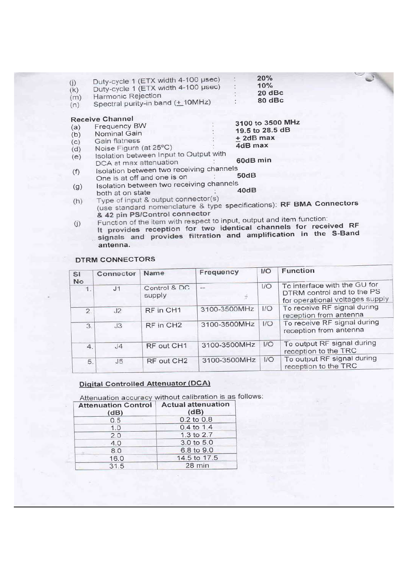| (i)<br>(k)<br>(m)<br>(n) | Duty-cycle 1 (ETX width 4-100 µsec)<br>Duty-cycle 1 (ETX width 4-100 µsec)<br>Harmonic Rejection<br>Spectral purity-in band (+ 10MHz) | 20%<br>10%<br>20 dBc<br>80 dBc                                       |
|--------------------------|---------------------------------------------------------------------------------------------------------------------------------------|----------------------------------------------------------------------|
|                          | <b>Receive Channel</b>                                                                                                                |                                                                      |
| (a)                      | <b>Frequency BW</b>                                                                                                                   | 3100 to 3500 MHz                                                     |
| (b)                      | Nominal Gain                                                                                                                          | 19.5 to 28.5 dB                                                      |
| (c)                      | Gain flatness                                                                                                                         | + 2dB max                                                            |
| (d)                      | Noise Figure (at 25°C)                                                                                                                | 4dB max                                                              |
| (e)                      | Isolation between Input to Output with                                                                                                |                                                                      |
|                          | DCA at max attenuation                                                                                                                | 60dB min                                                             |
| (f)                      | Isolation between two receiving channels                                                                                              |                                                                      |
|                          | One is at off and one is on                                                                                                           | 50dB                                                                 |
|                          | Isolation between two receiving channels                                                                                              |                                                                      |
| (g)                      | both at on state                                                                                                                      | 40dB                                                                 |
| (h)                      | Type of input & output connector(s)                                                                                                   |                                                                      |
|                          |                                                                                                                                       | (use standard nomenclature & type specifications): RF BMA Connectors |
|                          | & 42 pin PS/Control connector                                                                                                         |                                                                      |

Function of the item with respect to input, output and item function:<br>It provides reception for two identical channels for received RF<br>signals and provides filtration and amplification in the S-Band  $(i)$ antenna.

## **DTRM CONNECTORS**

| <b>SI</b><br><b>No</b> | Connector      | Name                   | Frequency    | 1/O | Function                                                                                      |
|------------------------|----------------|------------------------|--------------|-----|-----------------------------------------------------------------------------------------------|
| 1.                     | J <sub>1</sub> | Control & DC<br>supply | ш.           | 1/O | To interface with the GU for<br>DTRM control and to the PS<br>for operational voltages supply |
| $\mathcal{D}$          | J <sub>2</sub> | RF in CH1              | 3100-3500MHz | 1/O | To receive RF signal during<br>reception from antenna                                         |
| 3                      | J3             | RF in CH <sub>2</sub>  | 3100-3500MHz | 1/O | To receive RF signal during<br>reception from antenna                                         |
| 4.                     | J <sub>4</sub> | RF out CH1             | 3100-3500MHz | 1/O | To output RF signal during<br>reception to the TRC                                            |
| 5.                     | J5             | RF out CH2             | 3100-3500MHz | 1/O | To output RF signal during<br>reception to the TRC                                            |

## **Digital Controlled Attenuator (DCA)**

Attenuation accuracy without calibration is as follows:

| <b>Attenuation Control</b><br>(dB) | <b>Actual attenuation</b><br>(dB) |
|------------------------------------|-----------------------------------|
| 0.5                                | 0.2 to 0.8                        |
| 1,0                                | $0.4$ to 1.4                      |
| 2.0                                | 1.3 to 2.7                        |
| 4.0                                | 3.0 to 5.0                        |
| 8.0                                | 6.8 to 9.0                        |
| 16.0                               | 14.5 to 17.5                      |
| 31.5                               | 28 min                            |